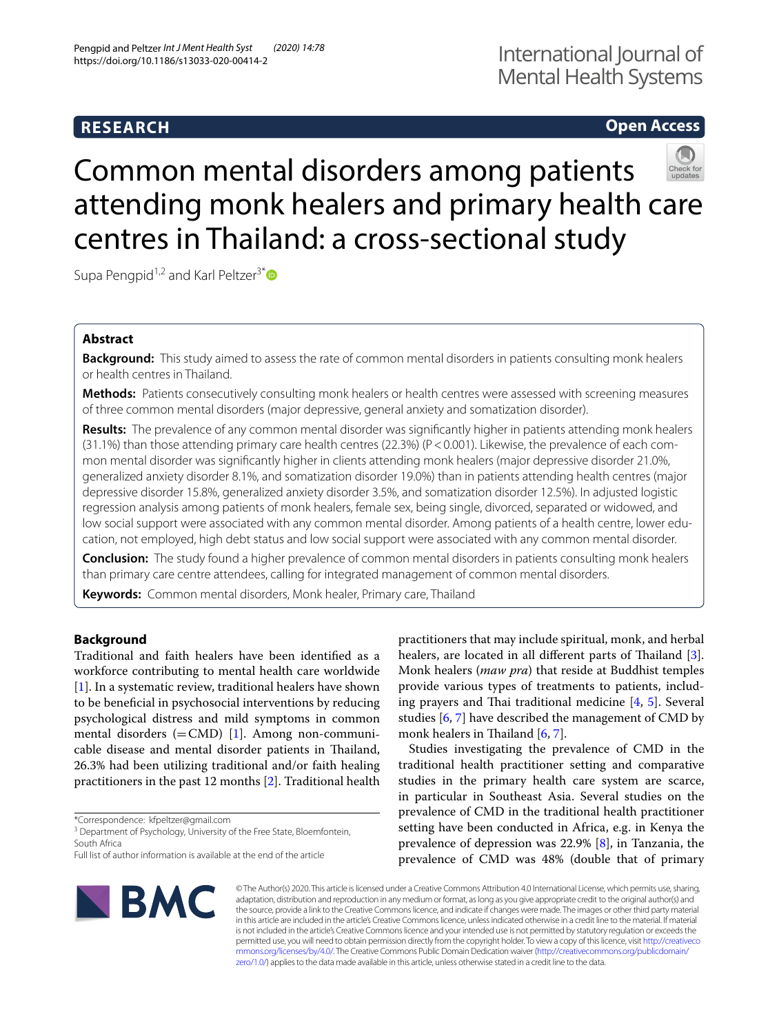### **RESEARCH**

## International Journal of Mental Health Systems

#### **Open Access**

# Common mental disorders among patients attending monk healers and primary health care centres in Thailand: a cross-sectional study

Supa Pengpid<sup>1,2</sup> and Karl Peltzer<sup>3[\\*](http://orcid.org/0000-0002-5980-0876)</sup>

#### **Abstract**

**Background:** This study aimed to assess the rate of common mental disorders in patients consulting monk healers or health centres in Thailand.

**Methods:** Patients consecutively consulting monk healers or health centres were assessed with screening measures of three common mental disorders (major depressive, general anxiety and somatization disorder).

**Results:** The prevalence of any common mental disorder was signifcantly higher in patients attending monk healers (31.1%) than those attending primary care health centres (22.3%) (P<0.001). Likewise, the prevalence of each common mental disorder was signifcantly higher in clients attending monk healers (major depressive disorder 21.0%, generalized anxiety disorder 8.1%, and somatization disorder 19.0%) than in patients attending health centres (major depressive disorder 15.8%, generalized anxiety disorder 3.5%, and somatization disorder 12.5%). In adjusted logistic regression analysis among patients of monk healers, female sex, being single, divorced, separated or widowed, and low social support were associated with any common mental disorder. Among patients of a health centre, lower education, not employed, high debt status and low social support were associated with any common mental disorder.

**Conclusion:** The study found a higher prevalence of common mental disorders in patients consulting monk healers than primary care centre attendees, calling for integrated management of common mental disorders.

**Keywords:** Common mental disorders, Monk healer, Primary care, Thailand

#### **Background**

Traditional and faith healers have been identifed as a workforce contributing to mental health care worldwide [[1\]](#page-4-0). In a systematic review, traditional healers have shown to be benefcial in psychosocial interventions by reducing psychological distress and mild symptoms in common mental disorders  $(=$  CMD $)$  [\[1](#page-4-0)]. Among non-communicable disease and mental disorder patients in Thailand, 26.3% had been utilizing traditional and/or faith healing practitioners in the past 12 months [[2\]](#page-4-1). Traditional health

\*Correspondence: kfpeltzer@gmail.com

<sup>3</sup> Department of Psychology, University of the Free State, Bloemfontein, South Africa

practitioners that may include spiritual, monk, and herbal healers, are located in all different parts of Thailand [\[3](#page-4-2)]. Monk healers (*maw pra*) that reside at Buddhist temples provide various types of treatments to patients, including prayers and Thai traditional medicine  $[4, 5]$  $[4, 5]$  $[4, 5]$  $[4, 5]$  $[4, 5]$ . Several studies [[6,](#page-4-5) [7](#page-4-6)] have described the management of CMD by monk healers in Thailand  $[6, 7]$  $[6, 7]$  $[6, 7]$  $[6, 7]$ .

Studies investigating the prevalence of CMD in the traditional health practitioner setting and comparative studies in the primary health care system are scarce, in particular in Southeast Asia. Several studies on the prevalence of CMD in the traditional health practitioner setting have been conducted in Africa, e.g. in Kenya the prevalence of depression was 22.9% [\[8](#page-4-7)], in Tanzania, the prevalence of CMD was 48% (double that of primary



© The Author(s) 2020. This article is licensed under a Creative Commons Attribution 4.0 International License, which permits use, sharing, adaptation, distribution and reproduction in any medium or format, as long as you give appropriate credit to the original author(s) and the source, provide a link to the Creative Commons licence, and indicate if changes were made. The images or other third party material in this article are included in the article's Creative Commons licence, unless indicated otherwise in a credit line to the material. If material is not included in the article's Creative Commons licence and your intended use is not permitted by statutory regulation or exceeds the permitted use, you will need to obtain permission directly from the copyright holder. To view a copy of this licence, visit [http://creativeco](http://creativecommons.org/licenses/by/4.0/) [mmons.org/licenses/by/4.0/.](http://creativecommons.org/licenses/by/4.0/) The Creative Commons Public Domain Dedication waiver ([http://creativecommons.org/publicdomain/](http://creativecommons.org/publicdomain/zero/1.0/) [zero/1.0/\)](http://creativecommons.org/publicdomain/zero/1.0/) applies to the data made available in this article, unless otherwise stated in a credit line to the data.

Full list of author information is available at the end of the article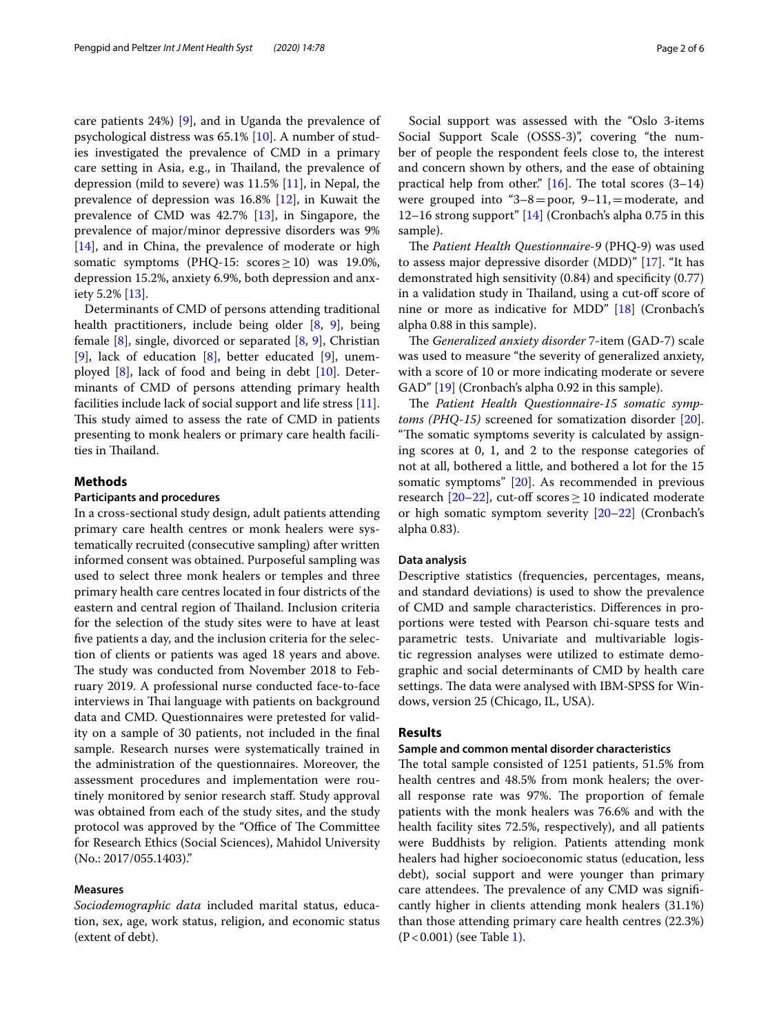care patients 24%) [[9\]](#page-4-8), and in Uganda the prevalence of psychological distress was 65.1% [[10\]](#page-4-9). A number of studies investigated the prevalence of CMD in a primary care setting in Asia, e.g., in Thailand, the prevalence of depression (mild to severe) was 11.5% [\[11\]](#page-4-10), in Nepal, the prevalence of depression was 16.8% [[12\]](#page-5-0), in Kuwait the prevalence of CMD was 42.7% [\[13](#page-5-1)], in Singapore, the prevalence of major/minor depressive disorders was 9% [[14\]](#page-5-2), and in China, the prevalence of moderate or high somatic symptoms (PHQ-15: scores≥10) was 19.0%, depression 15.2%, anxiety 6.9%, both depression and anxiety 5.2% [\[13](#page-5-1)].

Determinants of CMD of persons attending traditional health practitioners, include being older [\[8](#page-4-7), [9](#page-4-8)], being female  $[8]$  $[8]$ , single, divorced or separated  $[8, 9]$  $[8, 9]$  $[8, 9]$  $[8, 9]$ , Christian [[9\]](#page-4-8), lack of education  $[8]$  $[8]$ , better educated  $[9]$  $[9]$ , unemployed [\[8](#page-4-7)], lack of food and being in debt [[10](#page-4-9)]. Determinants of CMD of persons attending primary health facilities include lack of social support and life stress [\[11](#page-4-10)]. This study aimed to assess the rate of CMD in patients presenting to monk healers or primary care health facilities in Thailand.

#### **Methods**

#### **Participants and procedures**

In a cross-sectional study design, adult patients attending primary care health centres or monk healers were systematically recruited (consecutive sampling) after written informed consent was obtained. Purposeful sampling was used to select three monk healers or temples and three primary health care centres located in four districts of the eastern and central region of Thailand. Inclusion criteria for the selection of the study sites were to have at least fve patients a day, and the inclusion criteria for the selection of clients or patients was aged 18 years and above. The study was conducted from November 2018 to February 2019. A professional nurse conducted face-to-face interviews in Thai language with patients on background data and CMD. Questionnaires were pretested for validity on a sample of 30 patients, not included in the fnal sample. Research nurses were systematically trained in the administration of the questionnaires. Moreover, the assessment procedures and implementation were routinely monitored by senior research staf. Study approval was obtained from each of the study sites, and the study protocol was approved by the "Office of The Committee for Research Ethics (Social Sciences), Mahidol University (No.: 2017/055.1403)."

#### **Measures**

*Sociodemographic data* included marital status, education, sex, age, work status, religion, and economic status (extent of debt).

Social support was assessed with the "Oslo 3-items Social Support Scale (OSSS-3)", covering "the number of people the respondent feels close to, the interest and concern shown by others, and the ease of obtaining practical help from other."  $[16]$  $[16]$ . The total scores  $(3-14)$ were grouped into "3-8=poor,  $9-11$ , = moderate, and 12–16 strong support" [[14](#page-5-2)] (Cronbach's alpha 0.75 in this sample).

The *Patient Health Questionnaire-9* (PHQ-9) was used to assess major depressive disorder (MDD)" [\[17](#page-5-4)]. "It has demonstrated high sensitivity (0.84) and specifcity (0.77) in a validation study in Thailand, using a cut-off score of nine or more as indicative for MDD" [[18\]](#page-5-5) (Cronbach's alpha 0.88 in this sample).

The *Generalized anxiety disorder* 7-item (GAD-7) scale was used to measure "the severity of generalized anxiety, with a score of 10 or more indicating moderate or severe GAD" [\[19](#page-5-6)] (Cronbach's alpha 0.92 in this sample).

The Patient Health Questionnaire-15 somatic symp*toms (PHQ-15)* screened for somatization disorder [\[20](#page-5-7)]. "The somatic symptoms severity is calculated by assigning scores at 0, 1, and 2 to the response categories of not at all, bothered a little, and bothered a lot for the 15 somatic symptoms" [[20\]](#page-5-7). As recommended in previous research  $[20-22]$  $[20-22]$  $[20-22]$ , cut-off scores  $\geq 10$  indicated moderate or high somatic symptom severity [\[20](#page-5-7)[–22\]](#page-5-8) (Cronbach's alpha 0.83).

#### **Data analysis**

Descriptive statistics (frequencies, percentages, means, and standard deviations) is used to show the prevalence of CMD and sample characteristics. Diferences in proportions were tested with Pearson chi-square tests and parametric tests. Univariate and multivariable logistic regression analyses were utilized to estimate demographic and social determinants of CMD by health care settings. The data were analysed with IBM-SPSS for Windows, version 25 (Chicago, IL, USA).

#### **Results**

#### **Sample and common mental disorder characteristics**

The total sample consisted of 1251 patients, 51.5% from health centres and 48.5% from monk healers; the overall response rate was 97%. The proportion of female patients with the monk healers was 76.6% and with the health facility sites 72.5%, respectively), and all patients were Buddhists by religion. Patients attending monk healers had higher socioeconomic status (education, less debt), social support and were younger than primary care attendees. The prevalence of any CMD was significantly higher in clients attending monk healers (31.1%) than those attending primary care health centres (22.3%)  $(P < 0.001)$  $(P < 0.001)$  (see Table 1).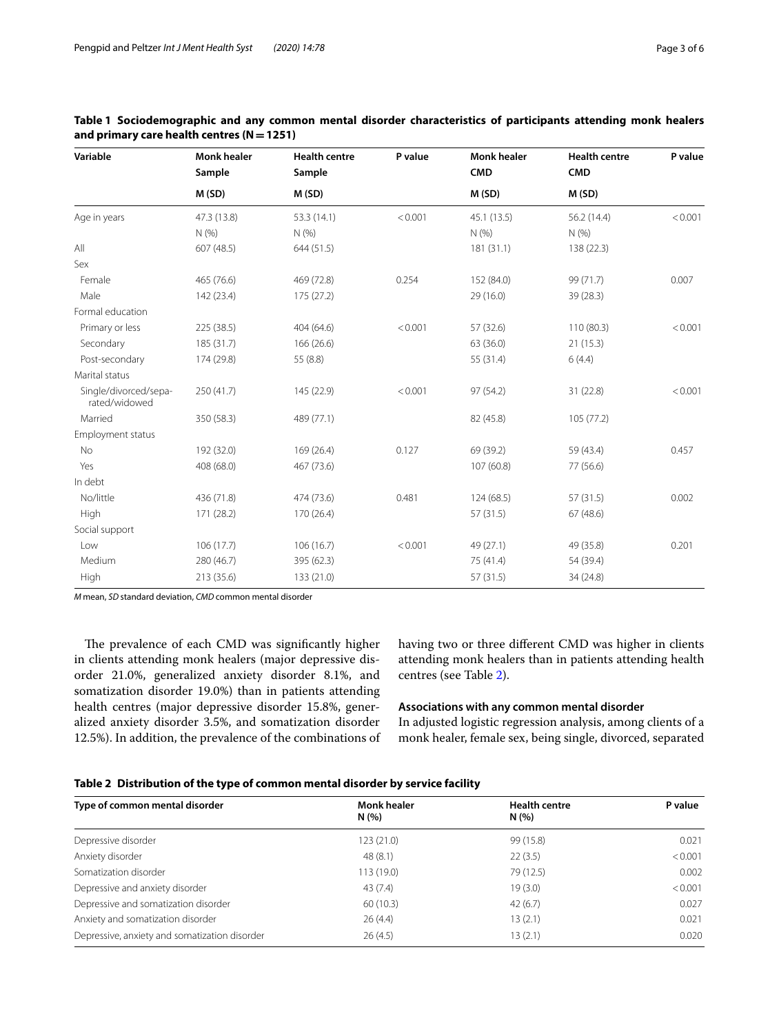| Page 3 of 6 |
|-------------|
|-------------|

| Variable                               | <b>Monk healer</b> | <b>Health centre</b> | P value | <b>Monk healer</b> | <b>Health centre</b> | P value |
|----------------------------------------|--------------------|----------------------|---------|--------------------|----------------------|---------|
|                                        | Sample             | Sample               |         | <b>CMD</b>         | <b>CMD</b>           |         |
|                                        | M(SD)              | M(SD)                |         | M(SD)              | M(SD)                |         |
| Age in years                           | 47.3 (13.8)        | 53.3 (14.1)          | < 0.001 | 45.1 (13.5)        | 56.2 (14.4)          | < 0.001 |
|                                        | N(% )              | N(%                  |         | N(% )              | N(% )                |         |
| All                                    | 607 (48.5)         | 644 (51.5)           |         | 181 (31.1)         | 138 (22.3)           |         |
| Sex                                    |                    |                      |         |                    |                      |         |
| Female                                 | 465 (76.6)         | 469 (72.8)           | 0.254   | 152 (84.0)         | 99 (71.7)            | 0.007   |
| Male                                   | 142 (23.4)         | 175 (27.2)           |         | 29 (16.0)          | 39 (28.3)            |         |
| Formal education                       |                    |                      |         |                    |                      |         |
| Primary or less                        | 225 (38.5)         | 404 (64.6)           | < 0.001 | 57 (32.6)          | 110 (80.3)           | < 0.001 |
| Secondary                              | 185 (31.7)         | 166 (26.6)           |         | 63 (36.0)          | 21(15.3)             |         |
| Post-secondary                         | 174 (29.8)         | 55 (8.8)             |         | 55 (31.4)          | 6(4.4)               |         |
| Marital status                         |                    |                      |         |                    |                      |         |
| Single/divorced/sepa-<br>rated/widowed | 250 (41.7)         | 145 (22.9)           | < 0.001 | 97 (54.2)          | 31 (22.8)            | < 0.001 |
| Married                                | 350 (58.3)         | 489 (77.1)           |         | 82 (45.8)          | 105(77.2)            |         |
| Employment status                      |                    |                      |         |                    |                      |         |
| <b>No</b>                              | 192 (32.0)         | 169 (26.4)           | 0.127   | 69 (39.2)          | 59 (43.4)            | 0.457   |
| Yes                                    | 408 (68.0)         | 467 (73.6)           |         | 107 (60.8)         | 77 (56.6)            |         |
| In debt                                |                    |                      |         |                    |                      |         |
| No/little                              | 436 (71.8)         | 474 (73.6)           | 0.481   | 124 (68.5)         | 57 (31.5)            | 0.002   |
| High                                   | 171 (28.2)         | 170 (26.4)           |         | 57(31.5)           | 67(48.6)             |         |
| Social support                         |                    |                      |         |                    |                      |         |
| Low                                    | 106 (17.7)         | 106 (16.7)           | < 0.001 | 49 (27.1)          | 49 (35.8)            | 0.201   |
| Medium                                 | 280 (46.7)         | 395 (62.3)           |         | 75 (41.4)          | 54 (39.4)            |         |
| High                                   | 213 (35.6)         | 133 (21.0)           |         | 57(31.5)           | 34 (24.8)            |         |

<span id="page-2-0"></span>

| Table 1 Sociodemographic and any common mental disorder characteristics of participants attending monk healers |  |  |  |
|----------------------------------------------------------------------------------------------------------------|--|--|--|
| and primary care health centres ( $N = 1251$ )                                                                 |  |  |  |

*M* mean, *SD* standard deviation, *CMD* common mental disorder

The prevalence of each CMD was significantly higher in clients attending monk healers (major depressive disorder 21.0%, generalized anxiety disorder 8.1%, and somatization disorder 19.0%) than in patients attending health centres (major depressive disorder 15.8%, generalized anxiety disorder 3.5%, and somatization disorder 12.5%). In addition, the prevalence of the combinations of having two or three diferent CMD was higher in clients attending monk healers than in patients attending health centres (see Table [2](#page-2-1)).

#### **Associations with any common mental disorder**

In adjusted logistic regression analysis, among clients of a monk healer, female sex, being single, divorced, separated

#### <span id="page-2-1"></span>**Table 2 Distribution of the type of common mental disorder by service facility**

| Type of common mental disorder                | <b>Monk healer</b><br>N(%) | <b>Health centre</b><br>N(%) | P value |
|-----------------------------------------------|----------------------------|------------------------------|---------|
|                                               |                            |                              |         |
| Depressive disorder                           | 123 (21.0)                 | 99 (15.8)                    | 0.021   |
| Anxiety disorder                              | 48(8.1)                    | 22(3.5)                      | < 0.001 |
| Somatization disorder                         | 113(19.0)                  | 79 (12.5)                    | 0.002   |
| Depressive and anxiety disorder               | 43 (7.4)                   | 19(3.0)                      | < 0.001 |
| Depressive and somatization disorder          | 60(10.3)                   | 42(6.7)                      | 0.027   |
| Anxiety and somatization disorder             | 26(4.4)                    | 13 (2.1)                     | 0.021   |
| Depressive, anxiety and somatization disorder | 26(4.5)                    | 13 (2.1)                     | 0.020   |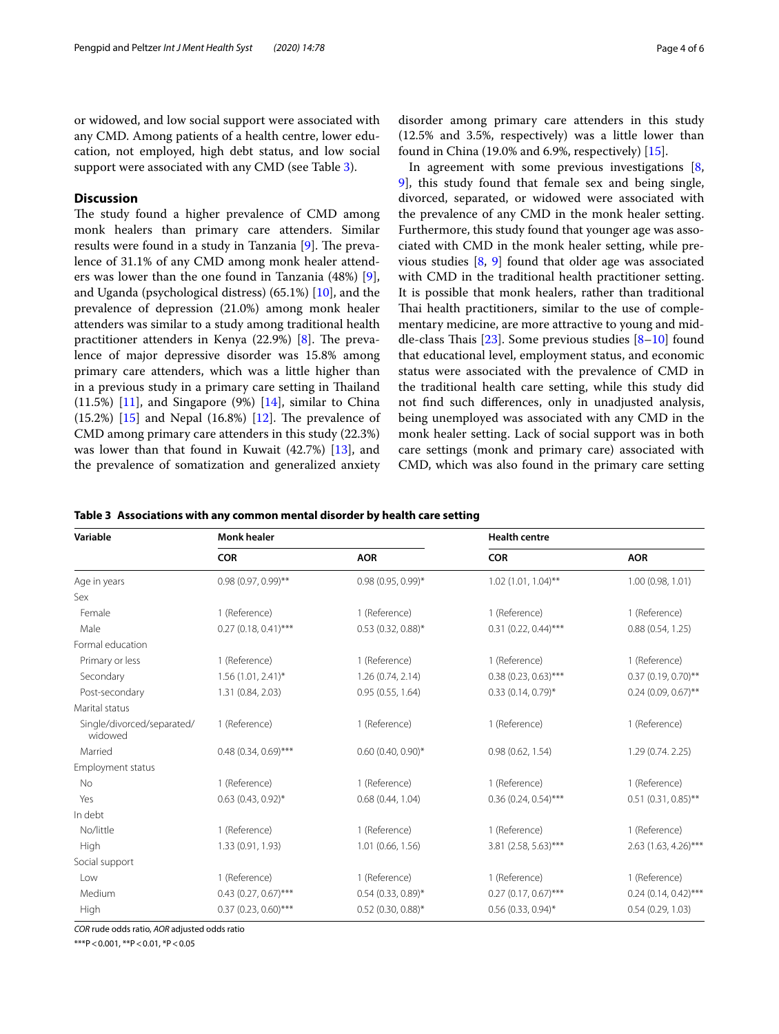#### **Discussion**

The study found a higher prevalence of CMD among monk healers than primary care attenders. Similar results were found in a study in Tanzania [[9\]](#page-4-8). The prevalence of 31.1% of any CMD among monk healer attenders was lower than the one found in Tanzania (48%) [\[9](#page-4-8)], and Uganda (psychological distress) (65.1%) [\[10\]](#page-4-9), and the prevalence of depression (21.0%) among monk healer attenders was similar to a study among traditional health practitioner attenders in Kenya  $(22.9%)$  [\[8](#page-4-7)]. The prevalence of major depressive disorder was 15.8% among primary care attenders, which was a little higher than in a previous study in a primary care setting in Thailand  $(11.5\%)$  [\[11\]](#page-4-10), and Singapore (9%) [\[14](#page-5-2)], similar to China  $(15.2%)$  [\[15\]](#page-5-9) and Nepal  $(16.8%)$  [[12\]](#page-5-0). The prevalence of CMD among primary care attenders in this study (22.3%) was lower than that found in Kuwait (42.7%) [\[13\]](#page-5-1), and the prevalence of somatization and generalized anxiety

disorder among primary care attenders in this study (12.5% and 3.5%, respectively) was a little lower than found in China (19.0% and 6.9%, respectively)  $[15]$  $[15]$ .

In agreement with some previous investigations [\[8](#page-4-7), [9\]](#page-4-8), this study found that female sex and being single, divorced, separated, or widowed were associated with the prevalence of any CMD in the monk healer setting. Furthermore, this study found that younger age was associated with CMD in the monk healer setting, while previous studies [\[8](#page-4-7), [9](#page-4-8)] found that older age was associated with CMD in the traditional health practitioner setting. It is possible that monk healers, rather than traditional Thai health practitioners, similar to the use of complementary medicine, are more attractive to young and middle-class Thais  $[23]$  $[23]$ . Some previous studies  $[8-10]$  $[8-10]$  $[8-10]$  found that educational level, employment status, and economic status were associated with the prevalence of CMD in the traditional health care setting, while this study did not fnd such diferences, only in unadjusted analysis, being unemployed was associated with any CMD in the monk healer setting. Lack of social support was in both care settings (monk and primary care) associated with CMD, which was also found in the primary care setting

<span id="page-3-0"></span>**Table 3 Associations with any common mental disorder by health care setting**

| Variable                              | <b>Monk healer</b>     |                      | <b>Health centre</b>   |                        |  |
|---------------------------------------|------------------------|----------------------|------------------------|------------------------|--|
|                                       | <b>COR</b>             | <b>AOR</b>           | <b>COR</b>             | <b>AOR</b>             |  |
| Age in years                          | $0.98(0.97, 0.99)$ **  | $0.98(0.95, 0.99)$ * | $1.02(1.01, 1.04)$ **  | 1.00 (0.98, 1.01)      |  |
| Sex                                   |                        |                      |                        |                        |  |
| Female                                | 1 (Reference)          | 1 (Reference)        | 1 (Reference)          | 1 (Reference)          |  |
| Male                                  | $0.27(0.18, 0.41)$ *** | $0.53(0.32, 0.88)$ * | $0.31$ (0.22, 0.44)*** | 0.88(0.54, 1.25)       |  |
| Formal education                      |                        |                      |                        |                        |  |
| Primary or less                       | 1 (Reference)          | 1 (Reference)        | 1 (Reference)          | 1 (Reference)          |  |
| Secondary                             | $1.56(1.01, 2.41)^{*}$ | 1.26 (0.74, 2.14)    | $0.38(0.23, 0.63)$ *** | $0.37(0.19, 0.70)$ **  |  |
| Post-secondary                        | 1.31 (0.84, 2.03)      | 0.95(0.55, 1.64)     | $0.33(0.14, 0.79)$ *   | $0.24$ (0.09, 0.67)**  |  |
| Marital status                        |                        |                      |                        |                        |  |
| Single/divorced/separated/<br>widowed | 1 (Reference)          | 1 (Reference)        | 1 (Reference)          | 1 (Reference)          |  |
| Married                               | $0.48(0.34, 0.69)$ *** | $0.60$ (0.40, 0.90)* | 0.98(0.62, 1.54)       | 1.29 (0.74. 2.25)      |  |
| Employment status                     |                        |                      |                        |                        |  |
| <b>No</b>                             | 1 (Reference)          | 1 (Reference)        | 1 (Reference)          | 1 (Reference)          |  |
| Yes                                   | $0.63$ (0.43, 0.92)*   | 0.68(0.44, 1.04)     | $0.36(0.24, 0.54)$ *** | $0.51(0.31, 0.85)$ **  |  |
| In debt                               |                        |                      |                        |                        |  |
| No/little                             | 1 (Reference)          | 1 (Reference)        | 1 (Reference)          | 1 (Reference)          |  |
| High                                  | 1.33 (0.91, 1.93)      | 1.01(0.66, 1.56)     | 3.81 (2.58, 5.63)***   | 2.63 (1.63, 4.26)***   |  |
| Social support                        |                        |                      |                        |                        |  |
| Low                                   | 1 (Reference)          | 1 (Reference)        | 1 (Reference)          | 1 (Reference)          |  |
| Medium                                | $0.43$ (0.27, 0.67)*** | $0.54$ (0.33, 0.89)* | $0.27(0.17, 0.67)$ *** | $0.24(0.14, 0.42)$ *** |  |
| High                                  | $0.37$ (0.23, 0.60)*** | $0.52$ (0.30, 0.88)* | $0.56$ (0.33, 0.94)*   | 0.54(0.29, 1.03)       |  |

*COR* rude odds ratio, *AOR* adjusted odds ratio

\*\*\*P<0.001, \*\*P<0.01, \*P<0.05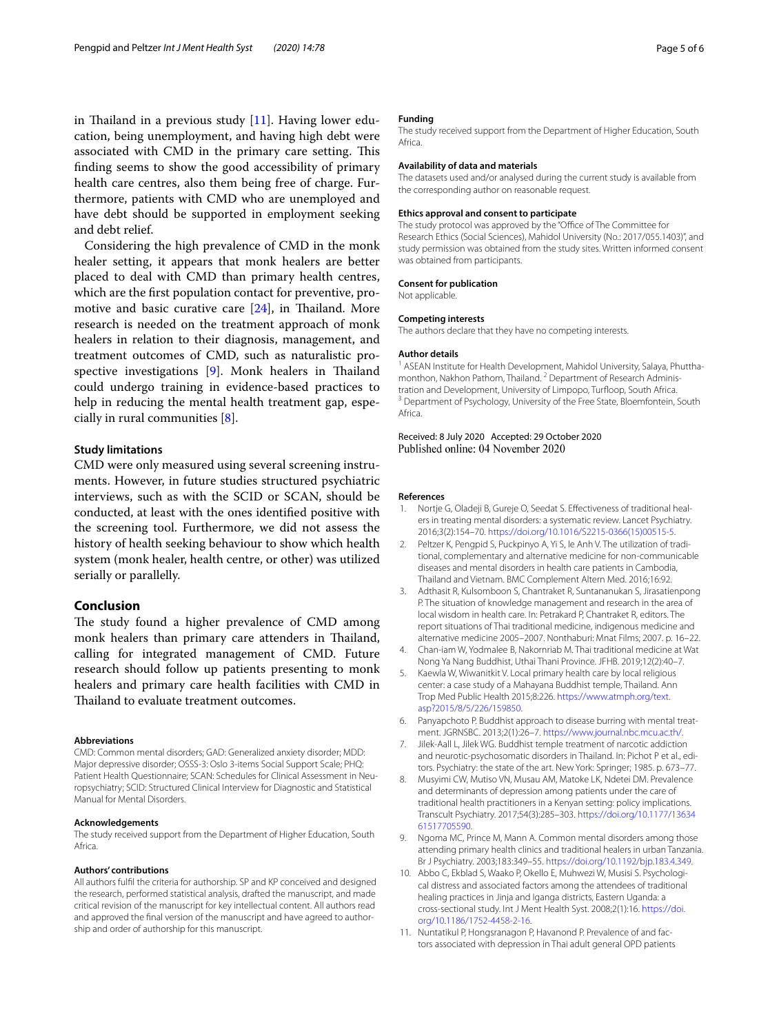in Thailand in a previous study  $[11]$ . Having lower education, being unemployment, and having high debt were associated with CMD in the primary care setting. This fnding seems to show the good accessibility of primary health care centres, also them being free of charge. Furthermore, patients with CMD who are unemployed and have debt should be supported in employment seeking and debt relief.

Considering the high prevalence of CMD in the monk healer setting, it appears that monk healers are better placed to deal with CMD than primary health centres, which are the frst population contact for preventive, promotive and basic curative care  $[24]$  $[24]$ , in Thailand. More research is needed on the treatment approach of monk healers in relation to their diagnosis, management, and treatment outcomes of CMD, such as naturalistic prospective investigations  $[9]$  $[9]$ . Monk healers in Thailand could undergo training in evidence-based practices to help in reducing the mental health treatment gap, especially in rural communities [[8\]](#page-4-7).

#### **Study limitations**

CMD were only measured using several screening instruments. However, in future studies structured psychiatric interviews, such as with the SCID or SCAN, should be conducted, at least with the ones identifed positive with the screening tool. Furthermore, we did not assess the history of health seeking behaviour to show which health system (monk healer, health centre, or other) was utilized serially or parallelly.

#### **Conclusion**

The study found a higher prevalence of CMD among monk healers than primary care attenders in Thailand, calling for integrated management of CMD. Future research should follow up patients presenting to monk healers and primary care health facilities with CMD in Thailand to evaluate treatment outcomes.

#### **Abbreviations**

CMD: Common mental disorders; GAD: Generalized anxiety disorder; MDD: Major depressive disorder; OSSS-3: Oslo 3-items Social Support Scale; PHQ: Patient Health Questionnaire; SCAN: Schedules for Clinical Assessment in Neuropsychiatry; SCID: Structured Clinical Interview for Diagnostic and Statistical Manual for Mental Disorders.

#### **Acknowledgements**

The study received support from the Department of Higher Education, South Africa.

#### **Authors' contributions**

All authors fulfl the criteria for authorship. SP and KP conceived and designed the research, performed statistical analysis, drafted the manuscript, and made critical revision of the manuscript for key intellectual content. All authors read and approved the fnal version of the manuscript and have agreed to authorship and order of authorship for this manuscript.

#### **Funding**

The study received support from the Department of Higher Education, South Africa.

#### **Availability of data and materials**

The datasets used and/or analysed during the current study is available from the corresponding author on reasonable request.

#### **Ethics approval and consent to participate**

The study protocol was approved by the "Office of The Committee for Research Ethics (Social Sciences), Mahidol University (No.: 2017/055.1403)", and study permission was obtained from the study sites. Written informed consent was obtained from participants.

#### **Consent for publication**

Not applicable.

#### **Competing interests**

The authors declare that they have no competing interests.

#### **Author details**

<sup>1</sup> ASEAN Institute for Health Development, Mahidol University, Salaya, Phutthamonthon, Nakhon Pathom, Thailand. <sup>2</sup> Department of Research Administration and Development, University of Limpopo, Turfloop, South Africa. <sup>3</sup> Department of Psychology, University of the Free State, Bloemfontein, South Africa.

Received: 8 July 2020 Accepted: 29 October 2020

#### **References**

- <span id="page-4-0"></span>1. Nortje G, Oladeji B, Gureje O, Seedat S. Efectiveness of traditional healers in treating mental disorders: a systematic review. Lancet Psychiatry. 2016;3(2):154–70. [https://doi.org/10.1016/S2215-0366\(15\)00515-5.](https://doi.org/10.1016/S2215-0366(15)00515-5)
- <span id="page-4-1"></span>2. Peltzer K, Pengpid S, Puckpinyo A, Yi S, le Anh V. The utilization of traditional, complementary and alternative medicine for non-communicable diseases and mental disorders in health care patients in Cambodia, Thailand and Vietnam. BMC Complement Altern Med. 2016;16:92.
- <span id="page-4-2"></span>3. Adthasit R, Kulsomboon S, Chantraket R, Suntananukan S, Jirasatienpong P. The situation of knowledge management and research in the area of local wisdom in health care. In: Petrakard P, Chantraket R, editors. The report situations of Thai traditional medicine, indigenous medicine and alternative medicine 2005–2007. Nonthaburi: Mnat Films; 2007. p. 16–22.
- <span id="page-4-3"></span>4. Chan-iam W, Yodmalee B, Nakornriab M. Thai traditional medicine at Wat Nong Ya Nang Buddhist, Uthai Thani Province. JFHB. 2019;12(2):40–7.
- <span id="page-4-4"></span>5. Kaewla W, Wiwanitkit V. Local primary health care by local religious center: a case study of a Mahayana Buddhist temple, Thailand. Ann Trop Med Public Health 2015;8:226. [https://www.atmph.org/text.](http://www.atmph.org/text.asp?2015/8/5/226/159850) [asp?2015/8/5/226/159850](http://www.atmph.org/text.asp?2015/8/5/226/159850).
- <span id="page-4-5"></span>6. Panyapchoto P. Buddhist approach to disease burring with mental treatment. JGRNSBC. 2013;2(1):26–7. [https://www.journal.nbc.mcu.ac.th/](http://www.journal.nbc.mcu.ac.th/).
- <span id="page-4-6"></span>7. Jilek-Aall L, Jilek WG. Buddhist temple treatment of narcotic addiction and neurotic-psychosomatic disorders in Thailand. In: Pichot P et al., editors. Psychiatry: the state of the art. New York: Springer; 1985. p. 673–77.
- <span id="page-4-7"></span>8. Musyimi CW, Mutiso VN, Musau AM, Matoke LK, Ndetei DM. Prevalence and determinants of depression among patients under the care of traditional health practitioners in a Kenyan setting: policy implications. Transcult Psychiatry. 2017;54(3):285–303. [https://doi.org/10.1177/13634](https://doi.org/10.1177/1363461517705590) [61517705590.](https://doi.org/10.1177/1363461517705590)
- <span id="page-4-8"></span>9. Ngoma MC, Prince M, Mann A. Common mental disorders among those attending primary health clinics and traditional healers in urban Tanzania. Br J Psychiatry. 2003;183:349–55. [https://doi.org/10.1192/bjp.183.4.349.](https://doi.org/10.1192/bjp.183.4.349)
- <span id="page-4-9"></span>10. Abbo C, Ekblad S, Waako P, Okello E, Muhwezi W, Musisi S. Psychological distress and associated factors among the attendees of traditional healing practices in Jinja and Iganga districts, Eastern Uganda: a cross-sectional study. Int J Ment Health Syst. 2008;2(1):16. [https://doi.](https://doi.org/10.1186/1752-4458-2-16) [org/10.1186/1752-4458-2-16](https://doi.org/10.1186/1752-4458-2-16).
- <span id="page-4-10"></span>11. Nuntatikul P, Hongsranagon P, Havanond P. Prevalence of and factors associated with depression in Thai adult general OPD patients